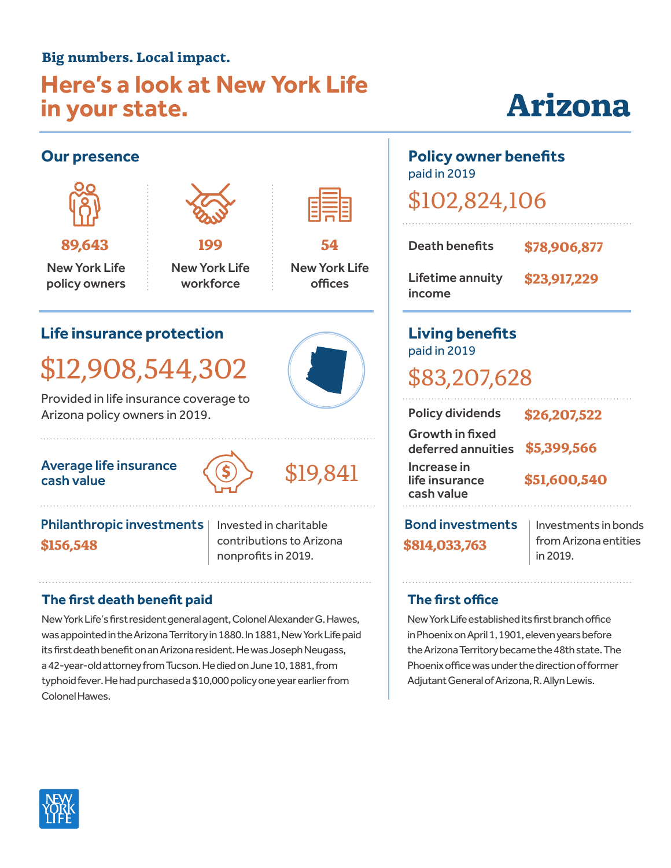#### **Big numbers. Local impact.**

### **Here's a look at New York Life in your state.**

# **Arizona**

#### **Our presence Life insurance protection** \$12,908,544,302 Provided in life insurance coverage to Arizona policy owners in 2019. paid in 2019 Lifetime annuity income **Living benefits** paid in 2019 \$83,207,628 Growth in fixed New York Life policy owners **89,643** New York Life workforce **199** New York Life offices **54**

#### Average life insurance Average life insurance  $\langle \text{(s)} \rangle$  \$19,841



#### **\$156,548** Philanthropic investments | Invested in charitable

contributions to Arizona nonprofits in 2019. **\$814,033,763**

#### **The first death benefit paid**

New York Life's first resident general agent, Colonel Alexander G. Hawes, was appointed in the Arizona Territory in 1880. In 1881, New York Life paid its first death benefit on an Arizona resident. He was Joseph Neugass, a 42-year-old attorney from Tucson. He died on June 10, 1881, from typhoid fever. He had purchased a \$10,000 policy one year earlier from Colonel Hawes.

## **Policy owner benefits**

\$102,824,106

| Death benefits                    | \$78,906,877 |
|-----------------------------------|--------------|
| <b>Lifetime annuity</b><br>income | \$23,917,229 |

| <b>Policy dividends</b>                                  | \$26,207,522 |
|----------------------------------------------------------|--------------|
| <b>Growth in fixed</b><br>deferred annuities \$5,399,566 |              |
| Increase in<br>life insurance<br>cash value              | \$51,600,540 |
|                                                          |              |

Bond investments | Investments in bonds

from Arizona entities in 2019.

#### **The first office**

New York Life established its first branch office in Phoenix on April 1, 1901, eleven years before the Arizona Territory became the 48th state. The Phoenix office was under the direction of former Adjutant General of Arizona, R. Allyn Lewis.